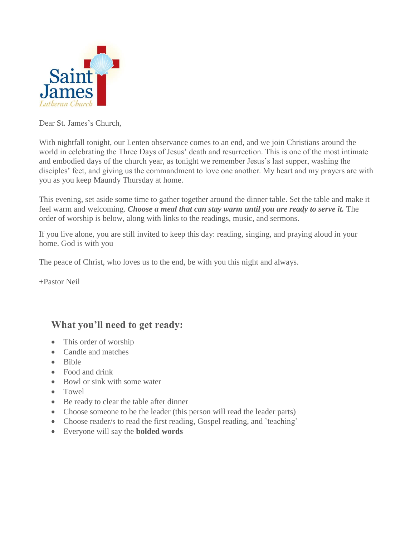

Dear St. James's Church,

With nightfall tonight, our Lenten observance comes to an end, and we join Christians around the world in celebrating the Three Days of Jesus' death and resurrection. This is one of the most intimate and embodied days of the church year, as tonight we remember Jesus's last supper, washing the disciples' feet, and giving us the commandment to love one another. My heart and my prayers are with you as you keep Maundy Thursday at home.

This evening, set aside some time to gather together around the dinner table. Set the table and make it feel warm and welcoming. *Choose a meal that can stay warm until you are ready to serve it*. The order of worship is below, along with links to the readings, music, and sermons.

If you live alone, you are still invited to keep this day: reading, singing, and praying aloud in your home. God is with you

The peace of Christ, who loves us to the end, be with you this night and always.

+Pastor Neil

### **What you'll need to get ready:**

- This order of worship
- Candle and matches
- Bible
- Food and drink
- Bowl or sink with some water
- Towel
- Be ready to clear the table after dinner
- Choose someone to be the leader (this person will read the leader parts)
- Choose reader/s to read the first reading, Gospel reading, and `teaching'
- Everyone will say the **bolded words**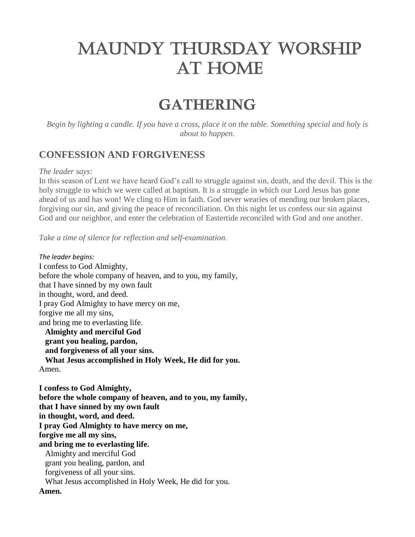# MAUNDY THURSDAY WORSHIP AT HOME

## **GATHERING**

*Begin by lighting a candle. If you have a cross, place it on the table. Something special and holy is about to happen.*

### **CONFESSION AND FORGIVENESS**

#### *The leader says:*

In this season of Lent we have heard God's call to struggle against sin, death, and the devil. This is the holy struggle to which we were called at baptism. It is a struggle in which our Lord Jesus has gone ahead of us and has won! We cling to Him in faith. God never wearies of mending our broken places, forgiving our sin, and giving the peace of reconciliation. On this night let us confess our sin against God and our neighbor, and enter the celebration of Eastertide reconciled with God and one another.

*Take a time of silence for reflection and self-examination.*

*The leader begins:* I confess to God Almighty, before the whole company of heaven, and to you, my family, that I have sinned by my own fault in thought, word, and deed. I pray God Almighty to have mercy on me, forgive me all my sins, and bring me to everlasting life.  **Almighty and merciful God grant you healing, pardon, and forgiveness of all your sins. What Jesus accomplished in Holy Week, He did for you.**  Amen.

**I confess to God Almighty, before the whole company of heaven, and to you, my family, that I have sinned by my own fault in thought, word, and deed. I pray God Almighty to have mercy on me, forgive me all my sins, and bring me to everlasting life.** Almighty and merciful God grant you healing, pardon, and forgiveness of all your sins. What Jesus accomplished in Holy Week, He did for you. **Amen.**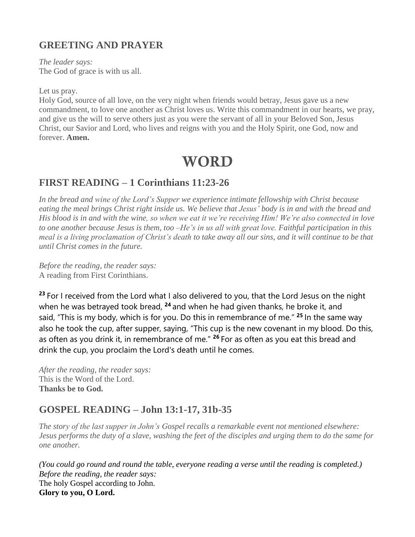## **GREETING AND PRAYER**

*The leader says:* The God of grace is with us all.

Let us pray.

Holy God, source of all love, on the very night when friends would betray, Jesus gave us a new commandment, to love one another as Christ loves us. Write this commandment in our hearts, we pray, and give us the will to serve others just as you were the servant of all in your Beloved Son, Jesus Christ, our Savior and Lord, who lives and reigns with you and the Holy Spirit, one God, now and forever. **Amen.**

## **WORD**

## **FIRST READING – 1 Corinthians 11:23-26**

*In the bread and wine of the Lord's Supper we experience intimate fellowship with Christ because eating the meal brings Christ right inside us. We believe that Jesus' body is in and with the bread and His blood is in and with the wine, so when we eat it we're receiving Him! We're also connected in love to one another because Jesus is them, too –He's in us all with great love. Faithful participation in this meal is a living proclamation of Christ's death to take away all our sins, and it will continue to be that until Christ comes in the future.*

*Before the reading, the reader says:* A reading from First Corinthians.

**<sup>23</sup>** For I received from the Lord what I also delivered to you, that the Lord Jesus on the night when he was betrayed took bread, **<sup>24</sup>** and when he had given thanks, he broke it, and said, "This is my body, which is for you. Do this in remembrance of me." **<sup>25</sup>** In the same way also he took the cup, after supper, saying, "This cup is the new covenant in my blood. Do this, as often as you drink it, in remembrance of me." **<sup>26</sup>** For as often as you eat this bread and drink the cup, you proclaim the Lord's death until he comes.

*After the reading, the reader says:* This is the Word of the Lord. **Thanks be to God.**

### **GOSPEL READING – John 13:1-17, 31b-35**

*The story of the last supper in John's Gospel recalls a remarkable event not mentioned elsewhere: Jesus performs the duty of a slave, washing the feet of the disciples and urging them to do the same for one another.*

*(You could go round and round the table, everyone reading a verse until the reading is completed.) Before the reading, the reader says:* The holy Gospel according to John. **Glory to you, O Lord.**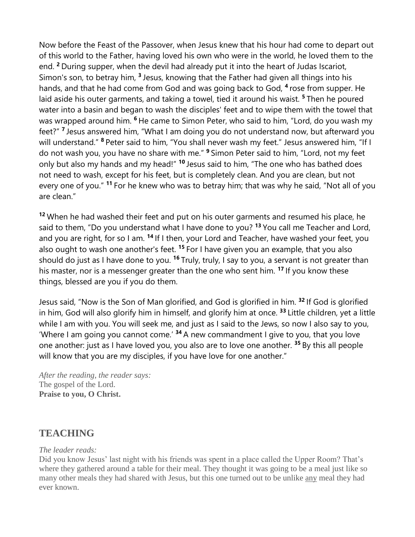Now before the Feast of the Passover, when Jesus knew that his hour had come to depart out of this world to the Father, having loved his own who were in the world, he loved them to the end. **<sup>2</sup>** During supper, when the devil had already put it into the heart of Judas Iscariot, Simon's son, to betray him, **<sup>3</sup>** Jesus, knowing that the Father had given all things into his hands, and that he had come from God and was going back to God, **<sup>4</sup>** rose from supper. He laid aside his outer garments, and taking a towel, tied it around his waist. **<sup>5</sup>** Then he poured water into a basin and began to wash the disciples' feet and to wipe them with the towel that was wrapped around him. **<sup>6</sup>** He came to Simon Peter, who said to him, "Lord, do you wash my feet?" **<sup>7</sup>** Jesus answered him, "What I am doing you do not understand now, but afterward you will understand." **<sup>8</sup>** Peter said to him, "You shall never wash my feet." Jesus answered him, "If I do not wash you, you have no share with me." **<sup>9</sup>** Simon Peter said to him, "Lord, not my feet only but also my hands and my head!" **<sup>10</sup>** Jesus said to him, "The one who has bathed does not need to wash, except for his feet, but is completely clean. And you are clean, but not every one of you." **<sup>11</sup>** For he knew who was to betray him; that was why he said, "Not all of you are clean."

**<sup>12</sup>** When he had washed their feet and put on his outer garments and resumed his place, he said to them, "Do you understand what I have done to you? **<sup>13</sup>** You call me Teacher and Lord, and you are right, for so I am. **<sup>14</sup>** If I then, your Lord and Teacher, have washed your feet, you also ought to wash one another's feet. **<sup>15</sup>** For I have given you an example, that you also should do just as I have done to you. **<sup>16</sup>** Truly, truly, I say to you, a servant is not greater than his master, nor is a messenger greater than the one who sent him. **<sup>17</sup>** If you know these things, blessed are you if you do them.

Jesus said, "Now is the Son of Man glorified, and God is glorified in him. **<sup>32</sup>** If God is glorified in him, God will also glorify him in himself, and glorify him at once. **<sup>33</sup>** Little children, yet a little while I am with you. You will seek me, and just as I said to the Jews, so now I also say to you, 'Where I am going you cannot come.' **<sup>34</sup>** A new commandment I give to you, that you love one another: just as I have loved you, you also are to love one another. **<sup>35</sup>** By this all people will know that you are my disciples, if you have love for one another."

*After the reading, the reader says:* The gospel of the Lord. **Praise to you, O Christ.**

## **TEACHING**

#### *The leader reads:*

Did you know Jesus' last night with his friends was spent in a place called the Upper Room? That's where they gathered around a table for their meal. They thought it was going to be a meal just like so many other meals they had shared with Jesus, but this one turned out to be unlike any meal they had ever known.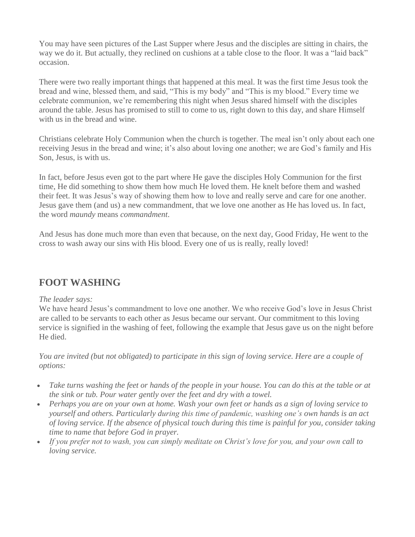You may have seen pictures of the Last Supper where Jesus and the disciples are sitting in chairs, the way we do it. But actually, they reclined on cushions at a table close to the floor. It was a "laid back" occasion.

There were two really important things that happened at this meal. It was the first time Jesus took the bread and wine, blessed them, and said, "This is my body" and "This is my blood." Every time we celebrate communion, we're remembering this night when Jesus shared himself with the disciples around the table. Jesus has promised to still to come to us, right down to this day, and share Himself with us in the bread and wine.

Christians celebrate Holy Communion when the church is together. The meal isn't only about each one receiving Jesus in the bread and wine; it's also about loving one another; we are God's family and His Son, Jesus, is with us.

In fact, before Jesus even got to the part where He gave the disciples Holy Communion for the first time, He did something to show them how much He loved them. He knelt before them and washed their feet. It was Jesus's way of showing them how to love and really serve and care for one another. Jesus gave them (and us) a new commandment, that we love one another as He has loved us. In fact, the word *maundy* means *commandment*.

And Jesus has done much more than even that because, on the next day, Good Friday, He went to the cross to wash away our sins with His blood. Every one of us is really, really loved!

### **FOOT WASHING**

#### *The leader says:*

We have heard Jesus's commandment to love one another. We who receive God's love in Jesus Christ are called to be servants to each other as Jesus became our servant. Our commitment to this loving service is signified in the washing of feet, following the example that Jesus gave us on the night before He died.

*You are invited (but not obligated) to participate in this sign of loving service. Here are a couple of options:*

- *Take turns washing the feet or hands of the people in your house. You can do this at the table or at the sink or tub. Pour water gently over the feet and dry with a towel.*
- *Perhaps you are on your own at home. Wash your own feet or hands as a sign of loving service to yourself and others. Particularly during this time of pandemic, washing one's own hands is an act of loving service. If the absence of physical touch during this time is painful for you, consider taking time to name that before God in prayer.*
- *If you prefer not to wash, you can simply meditate on Christ's love for you, and your own call to loving service.*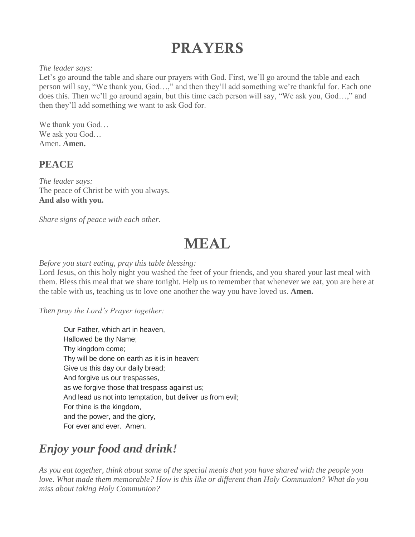## **PRAYERS**

#### *The leader says:*

Let's go around the table and share our prayers with God. First, we'll go around the table and each person will say, "We thank you, God…," and then they'll add something we're thankful for. Each one does this. Then we'll go around again, but this time each person will say, "We ask you, God…," and then they'll add something we want to ask God for.

We thank you God… We ask you God… Amen. **Amen.**

### **PEACE**

*The leader says:* The peace of Christ be with you always. **And also with you.**

*Share signs of peace with each other.*

## MEAL

#### *Before you start eating, pray this table blessing:*

Lord Jesus, on this holy night you washed the feet of your friends, and you shared your last meal with them. Bless this meal that we share tonight. Help us to remember that whenever we eat, you are here at the table with us, teaching us to love one another the way you have loved us. **Amen.**

#### *Then pray the Lord's Prayer together:*

Our Father, which art in heaven, Hallowed be thy Name; Thy kingdom come; Thy will be done on earth as it is in heaven: Give us this day our daily bread; And forgive us our trespasses, as we forgive those that trespass against us; And lead us not into temptation, but deliver us from evil; For thine is the kingdom, and the power, and the glory, For ever and ever. Amen.

## *Enjoy your food and drink!*

*As you eat together, think about some of the special meals that you have shared with the people you love. What made them memorable? How is this like or different than Holy Communion? What do you miss about taking Holy Communion?*